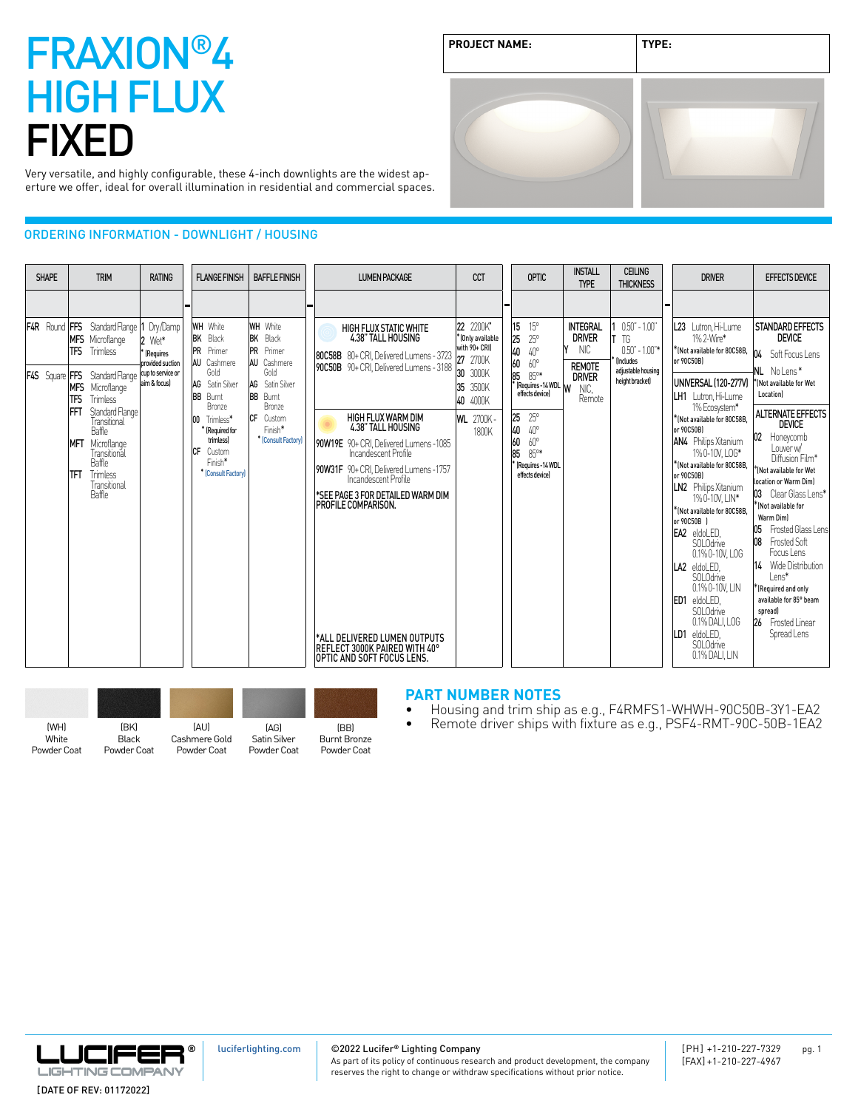**PROJECT NAME: TYPE:**

Very versatile, and highly configurable, these 4-inch downlights are the widest aperture we offer, ideal for overall illumination in residential and commercial spaces.

### ORDERING INFORMATION - DOWNLIGHT / HOUSING

| <b>SHAPE</b> | <b>TRIM</b>                                                                                                                                                                                                                                                                                                                                                                               | <b>RATING</b>                                           | <b>FLANGE FINISH</b>                                                                                                                                                                                                                              | <b>BAFFLE FINISH</b>                                                                                                                                                                 | <b>LUMEN PACKAGE</b>                                                                                                                                                                                                                                                                                                                                                                         | <b>CCT</b>                                                                                                                   | OPTIC                                                                                                                                                                                                                                           | <b>INSTALL</b><br><b>TYPE</b>                                                                      | <b>CEILING</b><br><b>THICKNESS</b>                                                                            | <b>DRIVER</b>                                                                                                                                                                                                                                                                                                                                                                                                                                 | <b>EFFECTS DEVICE</b>                                                                                                                                                                                                                                                                                                                                                                                    |
|--------------|-------------------------------------------------------------------------------------------------------------------------------------------------------------------------------------------------------------------------------------------------------------------------------------------------------------------------------------------------------------------------------------------|---------------------------------------------------------|---------------------------------------------------------------------------------------------------------------------------------------------------------------------------------------------------------------------------------------------------|--------------------------------------------------------------------------------------------------------------------------------------------------------------------------------------|----------------------------------------------------------------------------------------------------------------------------------------------------------------------------------------------------------------------------------------------------------------------------------------------------------------------------------------------------------------------------------------------|------------------------------------------------------------------------------------------------------------------------------|-------------------------------------------------------------------------------------------------------------------------------------------------------------------------------------------------------------------------------------------------|----------------------------------------------------------------------------------------------------|---------------------------------------------------------------------------------------------------------------|-----------------------------------------------------------------------------------------------------------------------------------------------------------------------------------------------------------------------------------------------------------------------------------------------------------------------------------------------------------------------------------------------------------------------------------------------|----------------------------------------------------------------------------------------------------------------------------------------------------------------------------------------------------------------------------------------------------------------------------------------------------------------------------------------------------------------------------------------------------------|
|              | <b>F4R</b> Round <b>FFS</b> Standard Flange 1 Dry/Damp<br>MFS Microflange<br>Trimless<br><b>TFS</b><br>F4S Square FFS Standard Flange cup to service or<br>MFS Microflange<br><b>TFS</b><br><b>Trimless</b><br><b>IFFT</b><br>Standard Flange<br>Transitional<br><b>Baffle</b><br>Microflange<br><b>MFT</b><br>Transitional<br>Baffle<br>Trimless<br>TFT<br>Transitional<br><b>Baffle</b> | 2 Wet*<br>(Requires<br>provided suction<br>aim & focus) | <b>WH</b> White<br><b>BK</b> Black<br><b>PR</b> Primer<br><b>AU</b> Cashmere<br>Gold<br>AG Satin Silver<br><b>BB</b> Burnt<br><b>Bronze</b><br>Trimless*<br>100<br>[Required for<br>trimlessl<br>ICF.<br>Custom<br>Finish*<br>* [Consult Factory] | <b>WH</b> White<br> BK<br>Black<br><b>PR</b> Primer<br>AU Cashmere<br>Gold<br>AG<br>Satin Silver<br><b>BB</b> Burnt<br>Bronze<br><b>ICF</b> Custom<br>Finish*<br>* [Consult Factory] | <b>HIGH FLUX STATIC WHITE</b><br>4.38" TALL HOUSING<br>80C58B 80+ CRI, Delivered Lumens - 3723<br>90C50B 90+ CRI, Delivered Lumens - 3188<br><b>HIGH FLUX WARM DIM</b><br>4.38" TALL HOUSING<br>90W19E 90+ CRI, Delivered Lumens -1085<br>Incandescent Profile<br>90W31F 90+ CRI, Delivered Lumens -1757<br>Incandescent Profile<br>*SEE PAGE 3 FOR DETAILED WARM DIM<br>PROFILE COMPARISON. | 22 2200K*<br>* (Only available<br>with 90+ CRI)<br>27<br>2700K<br>3000K<br>35<br>3500K<br>40 4000K<br>2700K-<br>WL.<br>1800K | 15<br>$15^{\circ}$<br>25<br>$25^{\circ}$<br>40<br>40°<br>60<br>$60^{\circ}$<br>85<br>$85^{\circ*}$<br>(Requires -14 WDL<br>25<br>$25^{\circ}$<br>40<br>$40^{\circ}$<br>60<br>$60^{\circ}$<br>85<br>850*<br>(Requires -14 WDL<br>effects devicel | <b>INTEGRAL</b><br><b>DRIVER</b><br><b>NIC</b><br><b>REMOTE</b><br><b>DRIVER</b><br>NIC,<br>Remote | $0.50" - 1.00"$<br>T<br>TG<br>$0.50"$ - $1.00"$ *<br><b>Includes</b><br>adiustable housing<br>height bracket) | L23 Lutron, Hi-Lume<br>1% 2-Wire*<br>*INot available for 80C58B.<br>$\vert$ or 90C50B)<br>UNIVERSAL (120-277V)<br>LH1 Lutron, Hi-Lume<br>1% Ecosystem*<br>*INot available for 80C58B.<br>or 90C50BI<br>AN4 Philips Xitanium<br>1%0-10V, LOG*<br>*(Not available for 80C58B,<br>or 90C50B)<br>LN2 Philips Xitanium<br>1%0-10V.LIN*<br>*(Not available for 80C58B,<br>or 90C50B 1<br><b>EA2</b> eldoLED.<br><b>SOLOdrive</b><br>0.1% 0-10V, LOG | <b>STANDARD EFFECTS</b><br><b>DEVICE</b><br>04 Soft Focus Lens<br>NL Nolens*<br>Not available for Wet<br>Location)<br><b>ALTERNATE EFFECTS</b><br><b>DEVICE</b><br>02<br>Honeycomb<br>Louver w/<br>Diffusion Film*<br>KNot available for Wet<br>location or Warm Dim)<br>03 Clear Glass Lens*<br>KNot available for<br>Warm Diml<br>Frosted Glass Lens<br>05<br><b>Frosted Soft</b><br>08<br>Focus I ens |
|              |                                                                                                                                                                                                                                                                                                                                                                                           |                                                         |                                                                                                                                                                                                                                                   |                                                                                                                                                                                      | *ALL DELIVERED LUMEN OUTPUTS<br>REFLECT 3000K PAIRED WITH 40°<br>IOPTIC AND SOFT FOCUS LENS.                                                                                                                                                                                                                                                                                                 |                                                                                                                              |                                                                                                                                                                                                                                                 |                                                                                                    |                                                                                                               | LA2 eldoLED.<br>SOLOdrive<br>0.1% 0-10V. LIN<br>ED <sub>1</sub><br>eldoLED.<br><b>SOLOdrive</b><br>0.1% DALI, LOG<br>eldoLED.<br>LD1<br><b>SOLOdrive</b><br>0.1% DALI. LIN                                                                                                                                                                                                                                                                    | 14 Wide Distribution<br>Lens*<br>Kequired and only<br>available for 85° beam<br>spread)<br>26 Frosted Linear<br>Spread Lens                                                                                                                                                                                                                                                                              |

| <b>IWHI</b> | (BK)         | <b>INALI</b>  | (AG)         | (BB)                |
|-------------|--------------|---------------|--------------|---------------------|
| White       | <b>Black</b> | Cashmere Gold | Satin Silver | <b>Burnt Bronze</b> |
| Powder Coat | Powder Coat  | Powder Coat   | Powder Coat  | Powder Coat         |

### **PART NUMBER NOTES**<br>• Housing and trim ship

- Housing and trim ship as e.g., F4RMFS1-WHWH-90C50B-3Y1-EA2
- Remote driver ships with fixture as e.g., PSF4-RMT-90C-50B-1EA2



[luciferlighting.com](http://luciferlighting.com/)

©2022 Lucifer**®** Lighting Company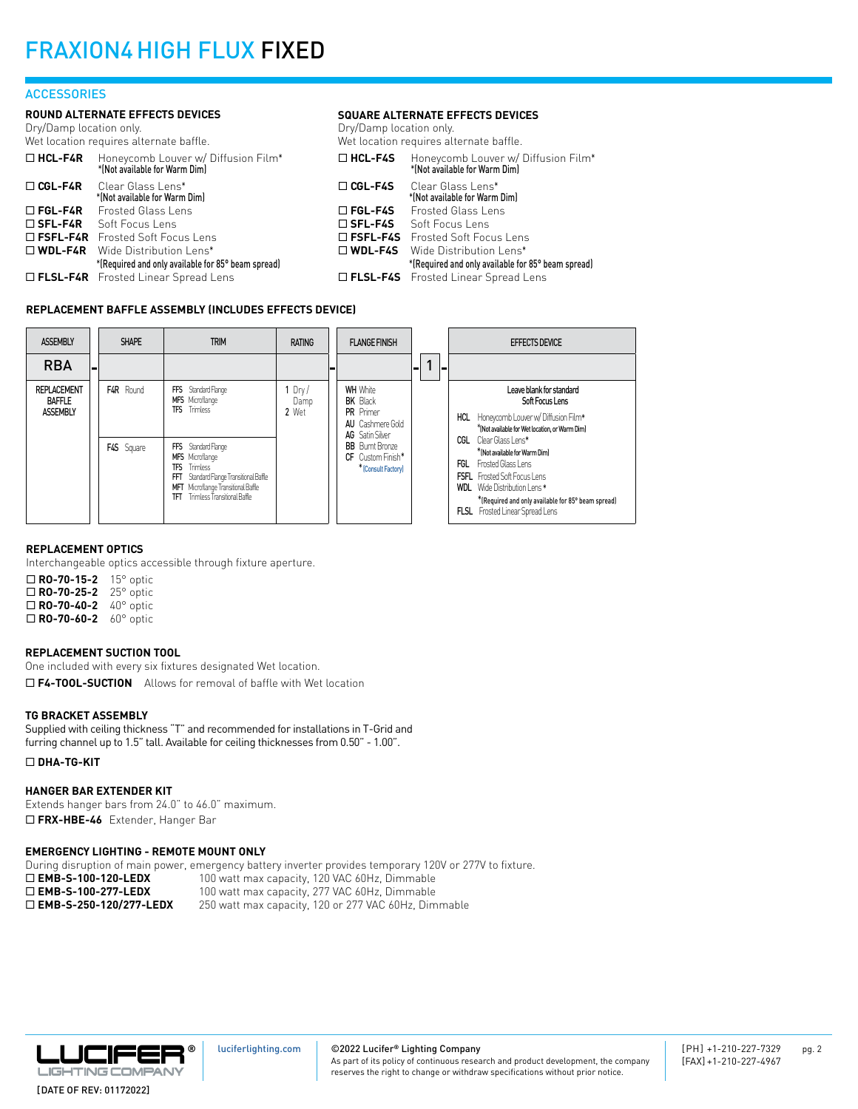#### **ACCESSORIES**

#### **ROUND ALTERNATE EFFECTS DEVICES**

Dry/Damp location only. Wet location requires alternate baffle.

|                | Wet location requires alternate baffle.                                             | Wet location requires alternate baffle. |                                                                      |  |
|----------------|-------------------------------------------------------------------------------------|-----------------------------------------|----------------------------------------------------------------------|--|
|                | $\Box$ HCL-F4R Honeycomb Louver w/ Diffusion Film*<br>*(Not available for Warm Dim) | $\Box$ HCL-F4S                          | Honeycomb Louver w/ Diffusion Film*<br>*(Not available for Warm Dim) |  |
| $\Box$ CGL-F4R | Clear Glass Lens*<br>*(Not available for Warm Dim)                                  | $\Box$ CGL-F4S                          | Clear Glass Lens*<br>*(Not available for Warm Dim)                   |  |
|                | □ FGL-F4R Frosted Glass Lens                                                        | $\square$ FGL-F4S                       | Frosted Glass Lens                                                   |  |
|                | $\square$ SFL-F4R Soft Focus Lens                                                   |                                         | □ SFL-F4S Soft Focus Lens                                            |  |
|                | □ FSFL-F4R Frosted Soft Focus Lens                                                  |                                         | □ FSFL-F4S Frosted Soft Focus Lens                                   |  |
|                | $\square$ WDL-F4R Wide Distribution Lens*                                           |                                         | $\Box$ WDL-F4S Wide Distribution Lens*                               |  |
|                | *(Required and only available for 85° beam spread)                                  |                                         | *(Required and only available for 85° beam spread)                   |  |
|                | □ FLSL-F4R Frosted Linear Spread Lens                                               |                                         | □ FLSL-F4S Frosted Linear Spread Lens                                |  |
|                |                                                                                     |                                         |                                                                      |  |

#### **REPLACEMENT BAFFLE ASSEMBLY (INCLUDES EFFECTS DEVICE)**



**SQUARE ALTERNATE EFFECTS DEVICES**

Dry/Damp location only.

#### **REPLACEMENT OPTICS**

Interchangeable optics accessible through fixture aperture.

| $\Box$ RO-70-15-2    | 15° optic          |
|----------------------|--------------------|
| $\Box$ RO-70-25-2    | 25° optic          |
| $\Box$ RO-70-40-2    | $40^{\circ}$ optic |
| $\square$ RO-70-60-2 | $60^\circ$ optic   |

#### **REPLACEMENT SUCTION TOOL**

One included with every six fixtures designated Wet location. □ F4-TOOL-SUCTION Allows for removal of baffle with Wet location

#### **TG BRACKET ASSEMBLY**

Supplied with ceiling thickness "T" and recommended for installations in T-Grid and furring channel up to 1.5" tall. Available for ceiling thicknesses from 0.50" - 1.00".

#### ¨ **DHA-TG-KIT**

#### **HANGER BAR EXTENDER KIT**

Extends hanger bars from 24.0" to 46.0" maximum. □ FRX-HBE-46 Extender, Hanger Bar

#### **EMERGENCY LIGHTING - REMOTE MOUNT ONLY**

During disruption of main power, emergency battery inverter provides temporary 120V or 277V to fixture. **□ EMB-S-100-120-LEDX** 100 watt max capacity, 120 VAC 60Hz, Dimmable<br>□ **EMB-S-100-277-LEDX** 100 watt max capacity, 277 VAC 60Hz, Dimmable 100 watt max capacity, 277 VAC 60Hz, Dimmable □ **EMB-S-250-120/277-LEDX** 250 watt max capacity, 120 or 277 VAC 60Hz, Dimmable



©2022 Lucifer**®** Lighting Company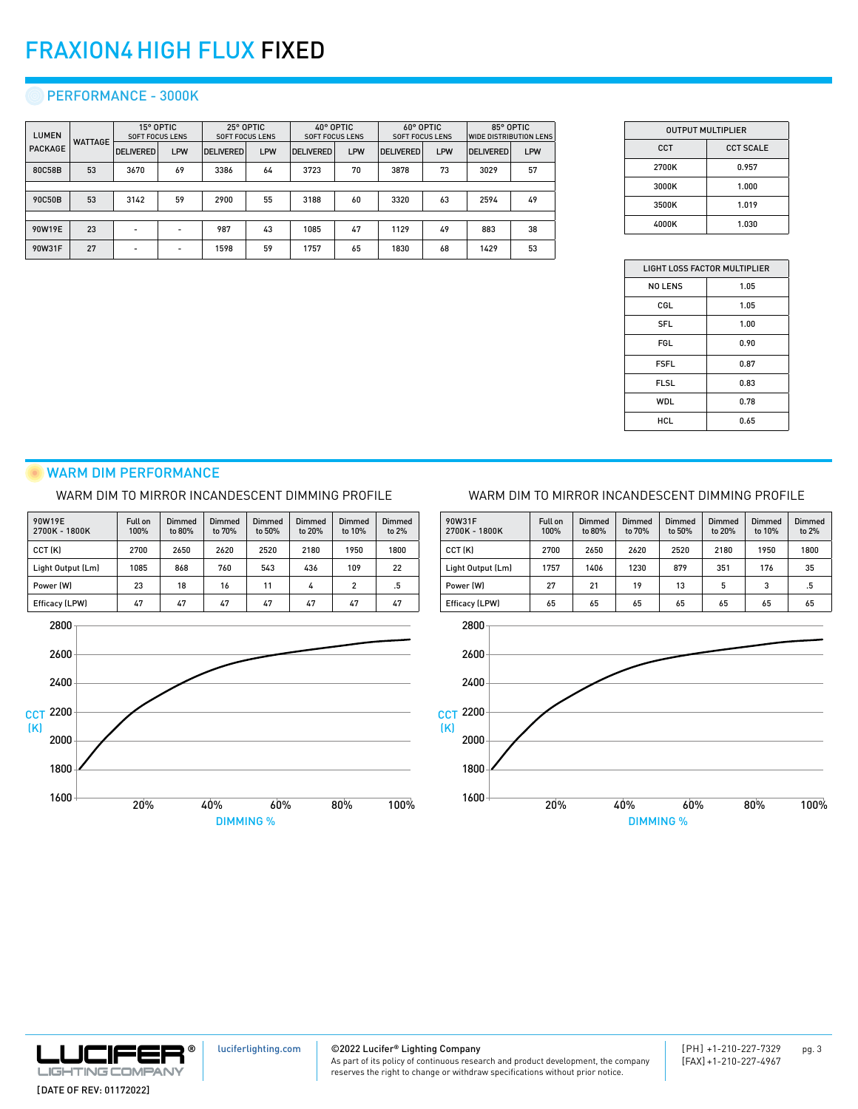#### PERFORMANCE - 3000K

| <b>LUMEN</b>   | <b>WATTAGE</b> | 15° OPTIC<br><b>SOFT FOCUS LENS</b> |            | 25° OPTIC<br><b>SOFT FOCUS LENS</b> |            | 40° OPTIC<br><b>SOFT FOCUS LENS</b> |            | 60° OPTIC<br><b>SOFT FOCUS LENS</b> |     | 85° OPTIC<br><b>WIDE DISTRIBUTION LENS</b> |     |
|----------------|----------------|-------------------------------------|------------|-------------------------------------|------------|-------------------------------------|------------|-------------------------------------|-----|--------------------------------------------|-----|
| <b>PACKAGE</b> |                | <b>DELIVERED</b>                    | <b>LPW</b> | <b>DELIVERED</b>                    | <b>LPW</b> | <b>DELIVERED</b>                    | <b>LPW</b> | <b>DELIVERED</b>                    | LPW | <b>DELIVERED</b>                           | LPW |
| 80C58B         | 53             | 3670                                | 69         | 3386                                | 64         | 3723                                | 70         | 3878                                | 73  | 3029                                       | 57  |
|                |                |                                     |            |                                     |            |                                     |            |                                     |     |                                            |     |
| 90C50B         | 53             | 3142                                | 59         | 2900                                | 55         | 3188                                | 60         | 3320                                | 63  | 2594                                       | 49  |
|                |                |                                     |            |                                     |            |                                     |            |                                     |     |                                            |     |
| 90W19E         | 23             |                                     |            | 987                                 | 43         | 1085                                | 47         | 1129                                | 49  | 883                                        | 38  |
| 90W31F         | 27             |                                     |            | 1598                                | 59         | 1757                                | 65         | 1830                                | 68  | 1429                                       | 53  |

| <b>OUTPUT MULTIPLIER</b> |                  |  |  |  |  |
|--------------------------|------------------|--|--|--|--|
| CCT                      | <b>CCT SCALE</b> |  |  |  |  |
| 2700K                    | 0.957            |  |  |  |  |
| 3000K                    | 1.000            |  |  |  |  |
| 3500K                    | 1.019            |  |  |  |  |
| 4000K                    | 1.030            |  |  |  |  |

| LIGHT LOSS FACTOR MULTIPLIER |      |  |  |  |  |
|------------------------------|------|--|--|--|--|
| <b>NO LENS</b>               | 1.05 |  |  |  |  |
| CGL                          | 1.05 |  |  |  |  |
| <b>SFL</b>                   | 1.00 |  |  |  |  |
| <b>FGL</b>                   | 0.90 |  |  |  |  |
| <b>FSFL</b>                  | 0.87 |  |  |  |  |
| <b>FLSL</b>                  | 0.83 |  |  |  |  |
| WDL                          | 0.78 |  |  |  |  |
| HCL                          | 0.65 |  |  |  |  |

#### WARM DIM PERFORMANCE

#### WARM DIM TO MIRROR INCANDESCENT DIMMING PROFILE

| 90W19E<br>2700K - 1800K | <b>Full on</b><br>100% | Dimmed<br>to 80% | Dimmed<br>to 70% | Dimmed<br>to 50% | <b>Dimmed</b><br>to 20% | Dimmed<br>to 10% | Dimmed<br>to 2% |
|-------------------------|------------------------|------------------|------------------|------------------|-------------------------|------------------|-----------------|
| CCT (K)                 | 2700                   | 2650             | 2620             | 2520             | 2180                    | 1950             | 1800            |
| Light Output (Lm)       | 1085                   | 868              | 760              | 543              | 436                     | 109              | 22              |
| Power (W)               | 23                     | 18               | 16               | 11               | 4                       | $\overline{2}$   | .5              |
| Efficacy (LPW)          | 47                     | 47               | 47               | 47               | 47                      | 47               | 47              |



#### WARM DIM TO MIRROR INCANDESCENT DIMMING PROFILE





[luciferlighting.com](http://luciferlighting.com/)

©2022 Lucifer**®** Lighting Company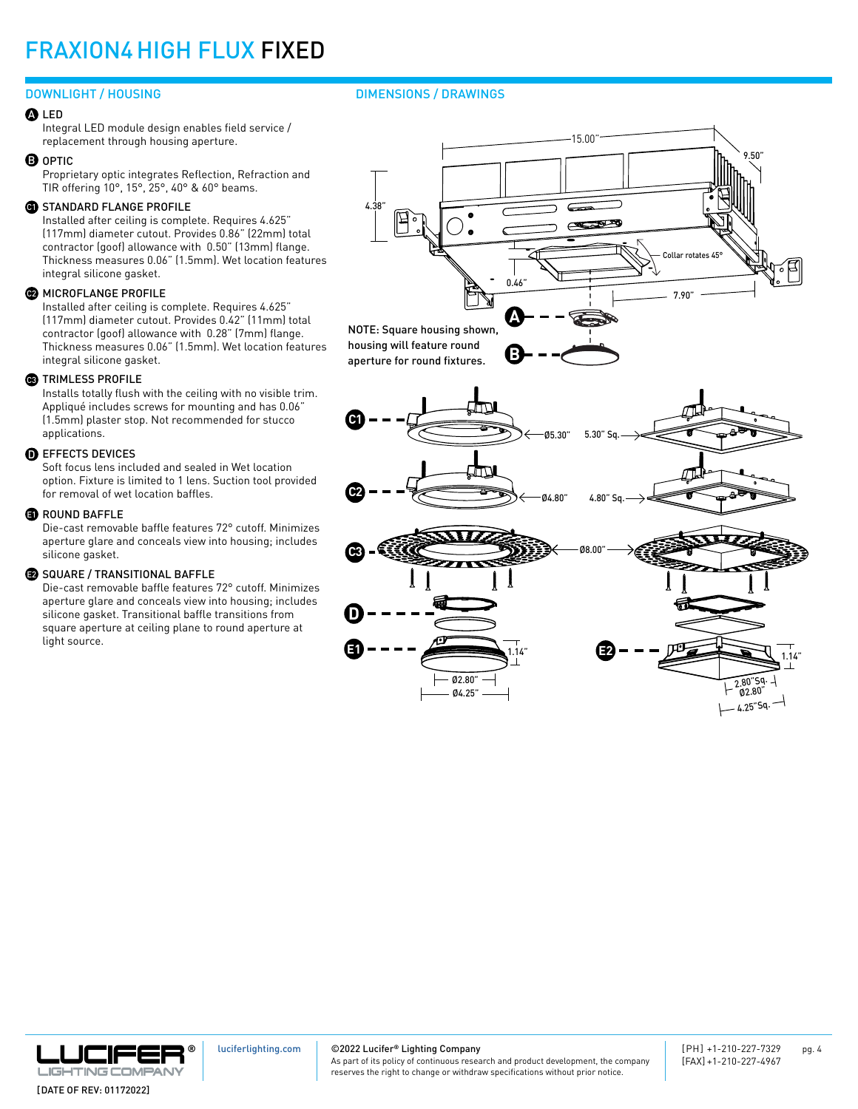#### DOWNLIGHT / HOUSING

#### LED A

Integral LED module design enables field service / replacement through housing aperture.

#### **B** OPTIC

Proprietary optic integrates Reflection, Refraction and TIR offering 10°, 15°, 25°, 40° & 60° beams.

#### **G)** STANDARD FLANGE PROFILE

Installed after ceiling is complete. Requires 4.625" (117mm) diameter cutout. Provides 0.86" (22mm) total contractor (goof) allowance with 0.50" (13mm) flange. Thickness measures 0.06" (1.5mm). Wet location features integral silicone gasket.

#### **22** MICROFLANGE PROFILE

Installed after ceiling is complete. Requires 4.625" (117mm) diameter cutout. Provides 0.42" (11mm) total contractor (goof) allowance with 0.28" (7mm) flange. Thickness measures 0.06" (1.5mm). Wet location features integral silicone gasket.

#### **3** TRIMLESS PROFILE

Installs totally flush with the ceiling with no visible trim. Appliqué includes screws for mounting and has 0.06" (1.5mm) plaster stop. Not recommended for stucco applications.

#### $\textcolor{black}{\mathbf{D}}$  effects devices

Soft focus lens included and sealed in Wet location option. Fixture is limited to 1 lens. Suction tool provided for removal of wet location baffles.

#### **B** ROUND BAFFLE

Die-cast removable baffle features 72° cutoff. Minimizes aperture glare and conceals view into housing; includes silicone gasket.

#### $\,$  SQUARE / TRANSITIONAL BAFFLE

Die-cast removable baffle features 72° cutoff. Minimizes aperture glare and conceals view into housing; includes silicone gasket. Transitional baffle transitions from square aperture at ceiling plane to round aperture at light source.

#### DIMENSIONS / DRAWINGS



**C1** Ø5.30" 5.30" Sq. π **C2** Ø4.80" 4.80" Sq. **C3** Ø8.00"





[luciferlighting.com](http://luciferlighting.com/)

©2022 Lucifer**®** Lighting Company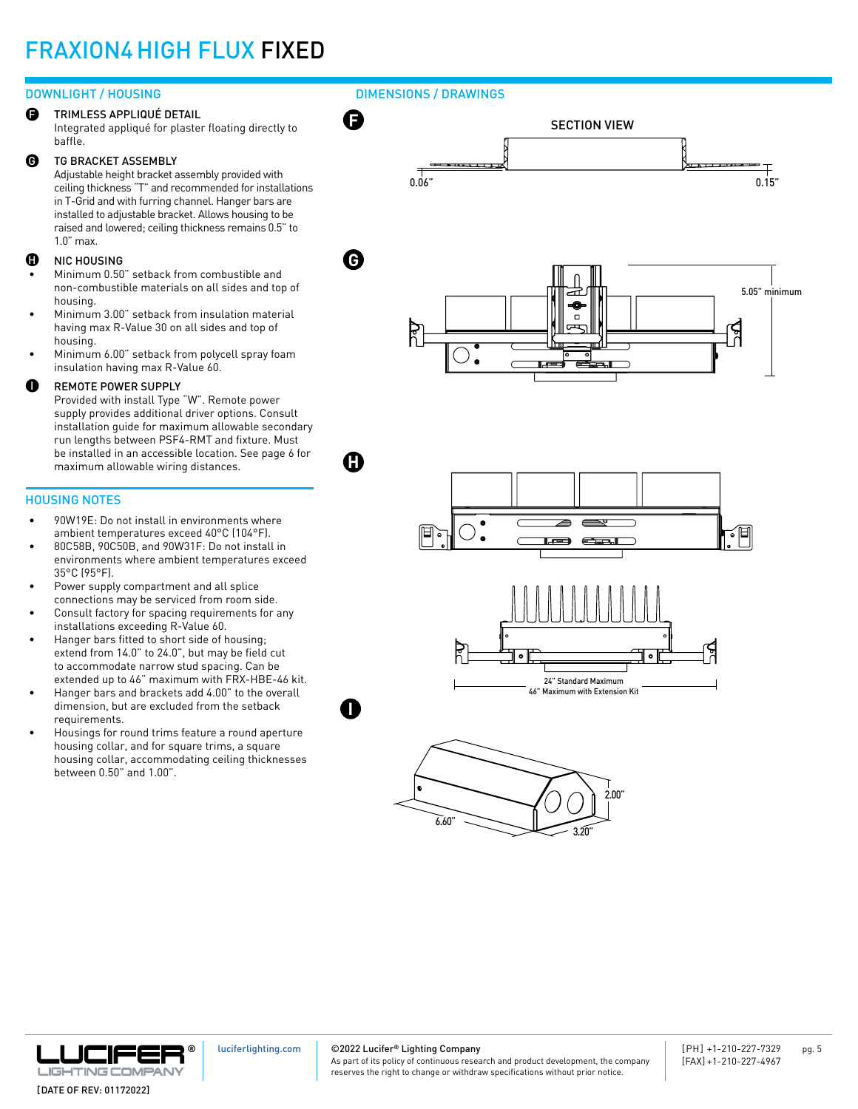#### DOWNLIGHT / HOUSING

TRIMLESS APPLIQUÉ DETAIL Integrated appliqué for plaster floating directly to baffle. F

#### TG BRACKET ASSEMBLY  $\boldsymbol{\Theta}$

Adjustable height bracket assembly provided with ceiling thickness "T" and recommended for installations in T-Grid and with furring channel. Hanger bars are installed to adjustable bracket. Allows housing to be raised and lowered; ceiling thickness remains 0.5" to 1.0" max.

#### **D** NIC HOUSING **G**

- Minimum 0.50" setback from combustible and non-combustible materials on all sides and top of housing.
- Minimum 3.00" setback from insulation material having max R-Value 30 on all sides and top of housing.
- Minimum 6.00" setback from polycell spray foam insulation having max R-Value 60.

#### REMOTE POWER SUPPLY I

Provided with install Type "W". Remote power supply provides additional driver options. Consult installation guide for maximum allowable secondary run lengths between PSF4-RMT and fixture. Must be installed in an accessible location. See page 6 for maximum allowable wiring distances.

#### HOUSING NOTES

- 90W19E: Do not install in environments where ambient temperatures exceed 40°C (104°F).
- 80C58B, 90C50B, and 90W31F: Do not install in environments where ambient temperatures exceed 35°C (95°F).
- Power supply compartment and all splice connections may be serviced from room side.
- Consult factory for spacing requirements for any installations exceeding R-Value 60.
- Hanger bars fitted to short side of housing; extend from 14.0" to 24.0", but may be field cut to accommodate narrow stud spacing. Can be extended up to 46" maximum with FRX-HBE-46 kit.
- Hanger bars and brackets add 4.00" to the overall dimension, but are excluded from the setback requirements.
- Housings for round trims feature a round aperture housing collar, and for square trims, a square housing collar, accommodating ceiling thicknesses between 0.50" and 1.00".

#### DIMENSIONS / DRAWINGS









[luciferlighting.com](http://luciferlighting.com/)

©2022 Lucifer**®** Lighting Company

**I**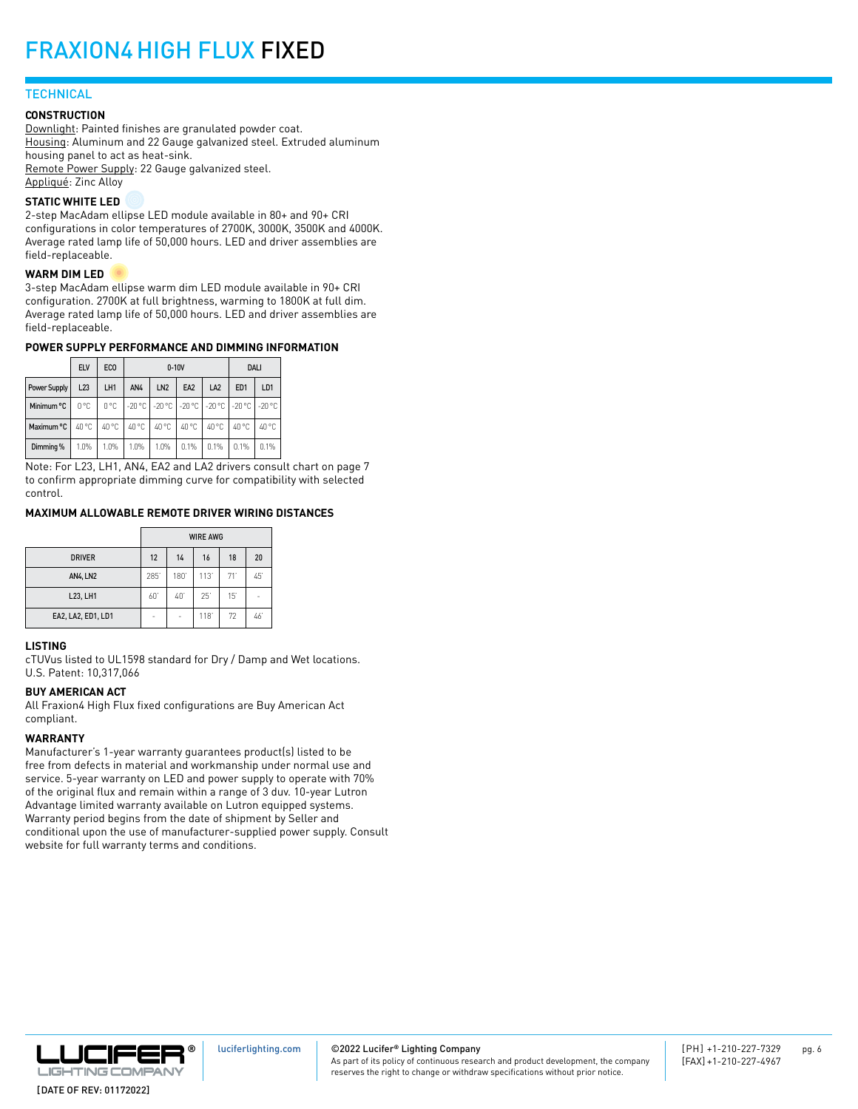### **TECHNICAL**

#### **CONSTRUCTION**

Downlight: Painted finishes are granulated powder coat. Housing: Aluminum and 22 Gauge galvanized steel. Extruded aluminum housing panel to act as heat-sink. Remote Power Supply: 22 Gauge galvanized steel. Appliqué: Zinc Alloy

#### **STATIC WHITE LED**

2-step MacAdam ellipse LED module available in 80+ and 90+ CRI configurations in color temperatures of 2700K, 3000K, 3500K and 4000K. Average rated lamp life of 50,000 hours. LED and driver assemblies are field-replaceable.

#### **WARM DIM LED**

3-step MacAdam ellipse warm dim LED module available in 90+ CRI configuration. 2700K at full brightness, warming to 1800K at full dim. Average rated lamp life of 50,000 hours. LED and driver assemblies are field-replaceable.

#### **POWER SUPPLY PERFORMANCE AND DIMMING INFORMATION**

|              | <b>ELV</b> | EC <sub>0</sub> |                                                 | $0-10V$         |                 |                 |                 | <b>DALI</b>     |  |
|--------------|------------|-----------------|-------------------------------------------------|-----------------|-----------------|-----------------|-----------------|-----------------|--|
| Power Supply | L23        | LH1             | AN4                                             | LN <sub>2</sub> | EA <sub>2</sub> | LA <sub>2</sub> | ED <sub>1</sub> | LD <sub>1</sub> |  |
| Minimum °C   | 0°C        | 0°C             | 1-20 °C 1-20 °C 1-20 °C 1-20 °C 1-20 °C 1-20 °C |                 |                 |                 |                 |                 |  |
| Maximum °C   | 40 °C      | 40 °C           | 40 °C                                           | 40 °C           | 40 °C           | 40 °C           | 40 °C           | 40 °C           |  |
| Dimming %    | 1.0%       | 1.0%            | 1.0%                                            | 1.0%            | 0.1%            | 0.1%            | 0.1%            | 0.1%            |  |

Note: For L23, LH1, AN4, EA2 and LA2 drivers consult chart on page 7 to confirm appropriate dimming curve for compatibility with selected control.

#### **MAXIMUM ALLOWABLE REMOTE DRIVER WIRING DISTANCES**

|                    | <b>WIRE AWG</b> |     |      |     |    |  |
|--------------------|-----------------|-----|------|-----|----|--|
| <b>DRIVER</b>      | 12              | 14  | 16   | 18  | 20 |  |
| <b>AN4, LN2</b>    | 285             | 180 | 113' | 71' | 45 |  |
| L23, LH1           | 60              | 40  | 25   | 15  | -  |  |
| EA2, LA2, ED1, LD1 | ۰               | ٠   | 118  | 72  | 46 |  |

#### **LISTING**

cTUVus listed to UL1598 standard for Dry / Damp and Wet locations. U.S. Patent: 10,317,066

#### **BUY AMERICAN ACT**

All Fraxion4 High Flux fixed configurations are Buy American Act compliant.

#### **WARRANTY**

Manufacturer's 1-year warranty guarantees product(s) listed to be free from defects in material and workmanship under normal use and service. 5-year warranty on LED and power supply to operate with 70% of the original flux and remain within a range of 3 duv. 10-year Lutron Advantage limited warranty available on Lutron equipped systems. Warranty period begins from the date of shipment by Seller and conditional upon the use of manufacturer-supplied power supply. Consult website for full warranty terms and conditions.